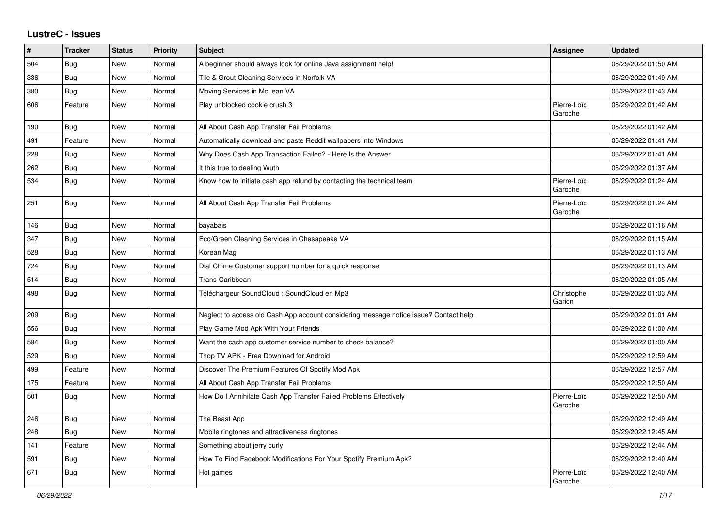## **LustreC - Issues**

| #   | <b>Tracker</b> | <b>Status</b> | <b>Priority</b> | <b>Subject</b>                                                                         | <b>Assignee</b>        | <b>Updated</b>      |
|-----|----------------|---------------|-----------------|----------------------------------------------------------------------------------------|------------------------|---------------------|
| 504 | Bug            | <b>New</b>    | Normal          | A beginner should always look for online Java assignment help!                         |                        | 06/29/2022 01:50 AM |
| 336 | Bug            | New           | Normal          | Tile & Grout Cleaning Services in Norfolk VA                                           |                        | 06/29/2022 01:49 AM |
| 380 | <b>Bug</b>     | New           | Normal          | Moving Services in McLean VA                                                           |                        | 06/29/2022 01:43 AM |
| 606 | Feature        | New           | Normal          | Play unblocked cookie crush 3                                                          | Pierre-Loïc<br>Garoche | 06/29/2022 01:42 AM |
| 190 | Bug            | <b>New</b>    | Normal          | All About Cash App Transfer Fail Problems                                              |                        | 06/29/2022 01:42 AM |
| 491 | Feature        | <b>New</b>    | Normal          | Automatically download and paste Reddit wallpapers into Windows                        |                        | 06/29/2022 01:41 AM |
| 228 | Bug            | <b>New</b>    | Normal          | Why Does Cash App Transaction Failed? - Here Is the Answer                             |                        | 06/29/2022 01:41 AM |
| 262 | Bug            | <b>New</b>    | Normal          | It this true to dealing Wuth                                                           |                        | 06/29/2022 01:37 AM |
| 534 | Bug            | New           | Normal          | Know how to initiate cash app refund by contacting the technical team                  | Pierre-Loïc<br>Garoche | 06/29/2022 01:24 AM |
| 251 | Bug            | <b>New</b>    | Normal          | All About Cash App Transfer Fail Problems                                              | Pierre-Loïc<br>Garoche | 06/29/2022 01:24 AM |
| 146 | Bug            | New           | Normal          | bayabais                                                                               |                        | 06/29/2022 01:16 AM |
| 347 | Bug            | New           | Normal          | Eco/Green Cleaning Services in Chesapeake VA                                           |                        | 06/29/2022 01:15 AM |
| 528 | <b>Bug</b>     | New           | Normal          | Korean Mag                                                                             |                        | 06/29/2022 01:13 AM |
| 724 | <b>Bug</b>     | <b>New</b>    | Normal          | Dial Chime Customer support number for a quick response                                |                        | 06/29/2022 01:13 AM |
| 514 | Bug            | <b>New</b>    | Normal          | Trans-Caribbean                                                                        |                        | 06/29/2022 01:05 AM |
| 498 | <b>Bug</b>     | New           | Normal          | Téléchargeur SoundCloud : SoundCloud en Mp3                                            | Christophe<br>Garion   | 06/29/2022 01:03 AM |
| 209 | <b>Bug</b>     | <b>New</b>    | Normal          | Neglect to access old Cash App account considering message notice issue? Contact help. |                        | 06/29/2022 01:01 AM |
| 556 | Bug            | New           | Normal          | Play Game Mod Apk With Your Friends                                                    |                        | 06/29/2022 01:00 AM |
| 584 | <b>Bug</b>     | New           | Normal          | Want the cash app customer service number to check balance?                            |                        | 06/29/2022 01:00 AM |
| 529 | Bug            | <b>New</b>    | Normal          | Thop TV APK - Free Download for Android                                                |                        | 06/29/2022 12:59 AM |
| 499 | Feature        | New           | Normal          | Discover The Premium Features Of Spotify Mod Apk                                       |                        | 06/29/2022 12:57 AM |
| 175 | Feature        | New           | Normal          | All About Cash App Transfer Fail Problems                                              |                        | 06/29/2022 12:50 AM |
| 501 | Bug            | New           | Normal          | How Do I Annihilate Cash App Transfer Failed Problems Effectively                      | Pierre-Loïc<br>Garoche | 06/29/2022 12:50 AM |
| 246 | Bug            | <b>New</b>    | Normal          | The Beast App                                                                          |                        | 06/29/2022 12:49 AM |
| 248 | Bug            | New           | Normal          | Mobile ringtones and attractiveness ringtones                                          |                        | 06/29/2022 12:45 AM |
| 141 | Feature        | New           | Normal          | Something about jerry curly                                                            |                        | 06/29/2022 12:44 AM |
| 591 | Bug            | New           | Normal          | How To Find Facebook Modifications For Your Spotify Premium Apk?                       |                        | 06/29/2022 12:40 AM |
| 671 | <b>Bug</b>     | New           | Normal          | Hot games                                                                              | Pierre-Loïc<br>Garoche | 06/29/2022 12:40 AM |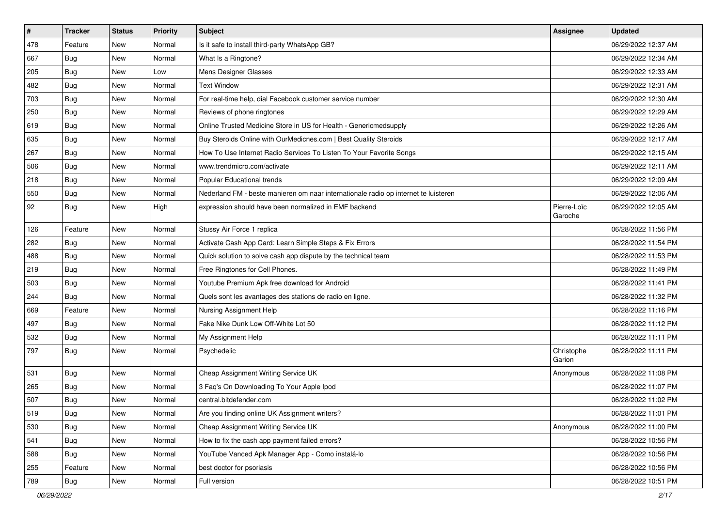| $\sharp$ | <b>Tracker</b> | <b>Status</b> | Priority | Subject                                                                             | <b>Assignee</b>        | <b>Updated</b>      |
|----------|----------------|---------------|----------|-------------------------------------------------------------------------------------|------------------------|---------------------|
| 478      | Feature        | New           | Normal   | Is it safe to install third-party WhatsApp GB?                                      |                        | 06/29/2022 12:37 AM |
| 667      | Bug            | New           | Normal   | What Is a Ringtone?                                                                 |                        | 06/29/2022 12:34 AM |
| 205      | Bug            | New           | Low      | Mens Designer Glasses                                                               |                        | 06/29/2022 12:33 AM |
| 482      | Bug            | New           | Normal   | <b>Text Window</b>                                                                  |                        | 06/29/2022 12:31 AM |
| 703      | Bug            | New           | Normal   | For real-time help, dial Facebook customer service number                           |                        | 06/29/2022 12:30 AM |
| 250      | <b>Bug</b>     | New           | Normal   | Reviews of phone ringtones                                                          |                        | 06/29/2022 12:29 AM |
| 619      | Bug            | New           | Normal   | Online Trusted Medicine Store in US for Health - Genericmedsupply                   |                        | 06/29/2022 12:26 AM |
| 635      | <b>Bug</b>     | New           | Normal   | Buy Steroids Online with OurMedicnes.com   Best Quality Steroids                    |                        | 06/29/2022 12:17 AM |
| 267      | Bug            | New           | Normal   | How To Use Internet Radio Services To Listen To Your Favorite Songs                 |                        | 06/29/2022 12:15 AM |
| 506      | Bug            | <b>New</b>    | Normal   | www.trendmicro.com/activate                                                         |                        | 06/29/2022 12:11 AM |
| 218      | Bug            | New           | Normal   | Popular Educational trends                                                          |                        | 06/29/2022 12:09 AM |
| 550      | <b>Bug</b>     | <b>New</b>    | Normal   | Nederland FM - beste manieren om naar internationale radio op internet te luisteren |                        | 06/29/2022 12:06 AM |
| 92       | Bug            | New           | High     | expression should have been normalized in EMF backend                               | Pierre-Loïc<br>Garoche | 06/29/2022 12:05 AM |
| 126      | Feature        | New           | Normal   | Stussy Air Force 1 replica                                                          |                        | 06/28/2022 11:56 PM |
| 282      | Bug            | New           | Normal   | Activate Cash App Card: Learn Simple Steps & Fix Errors                             |                        | 06/28/2022 11:54 PM |
| 488      | Bug            | New           | Normal   | Quick solution to solve cash app dispute by the technical team                      |                        | 06/28/2022 11:53 PM |
| 219      | Bug            | New           | Normal   | Free Ringtones for Cell Phones.                                                     |                        | 06/28/2022 11:49 PM |
| 503      | <b>Bug</b>     | New           | Normal   | Youtube Premium Apk free download for Android                                       |                        | 06/28/2022 11:41 PM |
| 244      | Bug            | New           | Normal   | Quels sont les avantages des stations de radio en ligne.                            |                        | 06/28/2022 11:32 PM |
| 669      | Feature        | New           | Normal   | Nursing Assignment Help                                                             |                        | 06/28/2022 11:16 PM |
| 497      | <b>Bug</b>     | New           | Normal   | Fake Nike Dunk Low Off-White Lot 50                                                 |                        | 06/28/2022 11:12 PM |
| 532      | <b>Bug</b>     | <b>New</b>    | Normal   | My Assignment Help                                                                  |                        | 06/28/2022 11:11 PM |
| 797      | <b>Bug</b>     | New           | Normal   | Psychedelic                                                                         | Christophe<br>Garion   | 06/28/2022 11:11 PM |
| 531      | Bug            | New           | Normal   | Cheap Assignment Writing Service UK                                                 | Anonymous              | 06/28/2022 11:08 PM |
| 265      | <b>Bug</b>     | New           | Normal   | 3 Faq's On Downloading To Your Apple Ipod                                           |                        | 06/28/2022 11:07 PM |
| 507      | Bug            | New           | Normal   | central.bitdefender.com                                                             |                        | 06/28/2022 11:02 PM |
| 519      | Bug            | New           | Normal   | Are you finding online UK Assignment writers?                                       |                        | 06/28/2022 11:01 PM |
| 530      | Bug            | New           | Normal   | Cheap Assignment Writing Service UK                                                 | Anonymous              | 06/28/2022 11:00 PM |
| 541      | Bug            | New           | Normal   | How to fix the cash app payment failed errors?                                      |                        | 06/28/2022 10:56 PM |
| 588      | <b>Bug</b>     | New           | Normal   | YouTube Vanced Apk Manager App - Como instalá-lo                                    |                        | 06/28/2022 10:56 PM |
| 255      | Feature        | New           | Normal   | best doctor for psoriasis                                                           |                        | 06/28/2022 10:56 PM |
| 789      | <b>Bug</b>     | New           | Normal   | Full version                                                                        |                        | 06/28/2022 10:51 PM |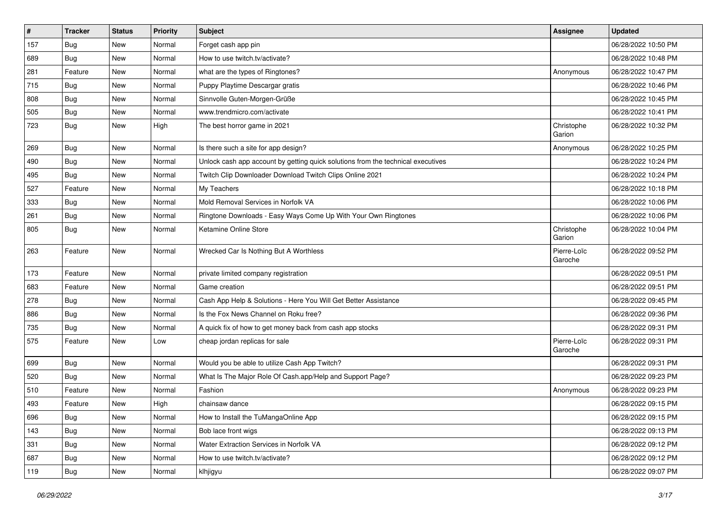| $\pmb{\#}$ | <b>Tracker</b> | <b>Status</b> | Priority | <b>Subject</b>                                                                   | <b>Assignee</b>        | <b>Updated</b>      |
|------------|----------------|---------------|----------|----------------------------------------------------------------------------------|------------------------|---------------------|
| 157        | <b>Bug</b>     | New           | Normal   | Forget cash app pin                                                              |                        | 06/28/2022 10:50 PM |
| 689        | <b>Bug</b>     | <b>New</b>    | Normal   | How to use twitch.tv/activate?                                                   |                        | 06/28/2022 10:48 PM |
| 281        | Feature        | New           | Normal   | what are the types of Ringtones?                                                 | Anonymous              | 06/28/2022 10:47 PM |
| 715        | Bug            | New           | Normal   | Puppy Playtime Descargar gratis                                                  |                        | 06/28/2022 10:46 PM |
| 808        | Bug            | New           | Normal   | Sinnvolle Guten-Morgen-Grüße                                                     |                        | 06/28/2022 10:45 PM |
| 505        | Bug            | New           | Normal   | www.trendmicro.com/activate                                                      |                        | 06/28/2022 10:41 PM |
| 723        | Bug            | New           | High     | The best horror game in 2021                                                     | Christophe<br>Garion   | 06/28/2022 10:32 PM |
| 269        | Bug            | New           | Normal   | Is there such a site for app design?                                             | Anonymous              | 06/28/2022 10:25 PM |
| 490        | Bug            | New           | Normal   | Unlock cash app account by getting quick solutions from the technical executives |                        | 06/28/2022 10:24 PM |
| 495        | Bug            | New           | Normal   | Twitch Clip Downloader Download Twitch Clips Online 2021                         |                        | 06/28/2022 10:24 PM |
| 527        | Feature        | New           | Normal   | My Teachers                                                                      |                        | 06/28/2022 10:18 PM |
| 333        | Bug            | New           | Normal   | Mold Removal Services in Norfolk VA                                              |                        | 06/28/2022 10:06 PM |
| 261        | Bug            | New           | Normal   | Ringtone Downloads - Easy Ways Come Up With Your Own Ringtones                   |                        | 06/28/2022 10:06 PM |
| 805        | Bug            | New           | Normal   | Ketamine Online Store                                                            | Christophe<br>Garion   | 06/28/2022 10:04 PM |
| 263        | Feature        | New           | Normal   | Wrecked Car Is Nothing But A Worthless                                           | Pierre-Loïc<br>Garoche | 06/28/2022 09:52 PM |
| 173        | Feature        | New           | Normal   | private limited company registration                                             |                        | 06/28/2022 09:51 PM |
| 683        | Feature        | New           | Normal   | Game creation                                                                    |                        | 06/28/2022 09:51 PM |
| 278        | Bug            | New           | Normal   | Cash App Help & Solutions - Here You Will Get Better Assistance                  |                        | 06/28/2022 09:45 PM |
| 886        | Bug            | New           | Normal   | Is the Fox News Channel on Roku free?                                            |                        | 06/28/2022 09:36 PM |
| 735        | <b>Bug</b>     | <b>New</b>    | Normal   | A quick fix of how to get money back from cash app stocks                        |                        | 06/28/2022 09:31 PM |
| 575        | Feature        | New           | Low      | cheap jordan replicas for sale                                                   | Pierre-Loïc<br>Garoche | 06/28/2022 09:31 PM |
| 699        | Bug            | New           | Normal   | Would you be able to utilize Cash App Twitch?                                    |                        | 06/28/2022 09:31 PM |
| 520        | Bug            | New           | Normal   | What Is The Major Role Of Cash.app/Help and Support Page?                        |                        | 06/28/2022 09:23 PM |
| 510        | Feature        | New           | Normal   | Fashion                                                                          | Anonymous              | 06/28/2022 09:23 PM |
| 493        | Feature        | New           | High     | chainsaw dance                                                                   |                        | 06/28/2022 09:15 PM |
| 696        | <b>Bug</b>     | New           | Normal   | How to Install the TuMangaOnline App                                             |                        | 06/28/2022 09:15 PM |
| 143        | <b>Bug</b>     | New           | Normal   | Bob lace front wigs                                                              |                        | 06/28/2022 09:13 PM |
| 331        | <b>Bug</b>     | New           | Normal   | Water Extraction Services in Norfolk VA                                          |                        | 06/28/2022 09:12 PM |
| 687        | <b>Bug</b>     | New           | Normal   | How to use twitch.tv/activate?                                                   |                        | 06/28/2022 09:12 PM |
| 119        | <b>Bug</b>     | New           | Normal   | klhjigyu                                                                         |                        | 06/28/2022 09:07 PM |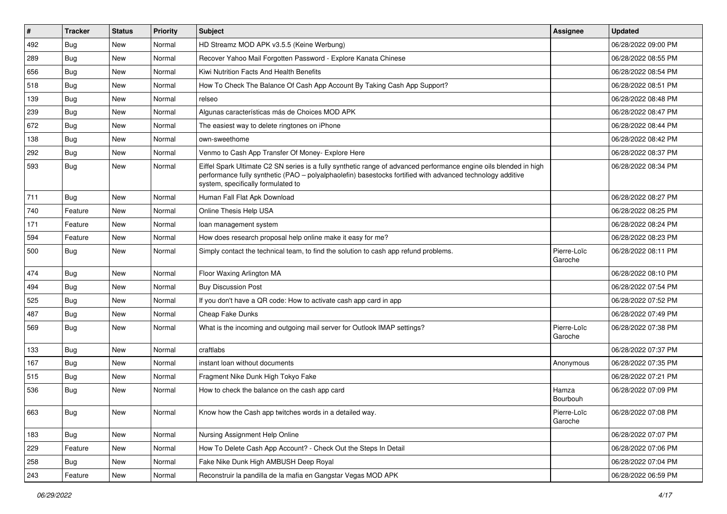| $\vert$ # | <b>Tracker</b> | <b>Status</b> | Priority | Subject                                                                                                                                                                                                                                                               | <b>Assignee</b>        | <b>Updated</b>      |
|-----------|----------------|---------------|----------|-----------------------------------------------------------------------------------------------------------------------------------------------------------------------------------------------------------------------------------------------------------------------|------------------------|---------------------|
| 492       | <b>Bug</b>     | New           | Normal   | HD Streamz MOD APK v3.5.5 (Keine Werbung)                                                                                                                                                                                                                             |                        | 06/28/2022 09:00 PM |
| 289       | <b>Bug</b>     | New           | Normal   | Recover Yahoo Mail Forgotten Password - Explore Kanata Chinese                                                                                                                                                                                                        |                        | 06/28/2022 08:55 PM |
| 656       | Bug            | New           | Normal   | Kiwi Nutrition Facts And Health Benefits                                                                                                                                                                                                                              |                        | 06/28/2022 08:54 PM |
| 518       | <b>Bug</b>     | New           | Normal   | How To Check The Balance Of Cash App Account By Taking Cash App Support?                                                                                                                                                                                              |                        | 06/28/2022 08:51 PM |
| 139       | <b>Bug</b>     | New           | Normal   | relseo                                                                                                                                                                                                                                                                |                        | 06/28/2022 08:48 PM |
| 239       | <b>Bug</b>     | New           | Normal   | Algunas características más de Choices MOD APK                                                                                                                                                                                                                        |                        | 06/28/2022 08:47 PM |
| 672       | Bug            | New           | Normal   | The easiest way to delete ringtones on iPhone                                                                                                                                                                                                                         |                        | 06/28/2022 08:44 PM |
| 138       | Bug            | New           | Normal   | own-sweethome                                                                                                                                                                                                                                                         |                        | 06/28/2022 08:42 PM |
| 292       | Bug            | New           | Normal   | Venmo to Cash App Transfer Of Money- Explore Here                                                                                                                                                                                                                     |                        | 06/28/2022 08:37 PM |
| 593       | Bug            | New           | Normal   | Eiffel Spark Ultimate C2 SN series is a fully synthetic range of advanced performance engine oils blended in high<br>performance fully synthetic (PAO – polyalphaolefin) basestocks fortified with advanced technology additive<br>system, specifically formulated to |                        | 06/28/2022 08:34 PM |
| 711       | Bug            | New           | Normal   | Human Fall Flat Apk Download                                                                                                                                                                                                                                          |                        | 06/28/2022 08:27 PM |
| 740       | Feature        | New           | Normal   | Online Thesis Help USA                                                                                                                                                                                                                                                |                        | 06/28/2022 08:25 PM |
| 171       | Feature        | New           | Normal   | loan management system                                                                                                                                                                                                                                                |                        | 06/28/2022 08:24 PM |
| 594       | Feature        | New           | Normal   | How does research proposal help online make it easy for me?                                                                                                                                                                                                           |                        | 06/28/2022 08:23 PM |
| 500       | <b>Bug</b>     | New           | Normal   | Simply contact the technical team, to find the solution to cash app refund problems.                                                                                                                                                                                  | Pierre-Loïc<br>Garoche | 06/28/2022 08:11 PM |
| 474       | Bug            | New           | Normal   | Floor Waxing Arlington MA                                                                                                                                                                                                                                             |                        | 06/28/2022 08:10 PM |
| 494       | <b>Bug</b>     | New           | Normal   | <b>Buy Discussion Post</b>                                                                                                                                                                                                                                            |                        | 06/28/2022 07:54 PM |
| 525       | Bug            | New           | Normal   | If you don't have a QR code: How to activate cash app card in app                                                                                                                                                                                                     |                        | 06/28/2022 07:52 PM |
| 487       | <b>Bug</b>     | New           | Normal   | Cheap Fake Dunks                                                                                                                                                                                                                                                      |                        | 06/28/2022 07:49 PM |
| 569       | <b>Bug</b>     | New           | Normal   | What is the incoming and outgoing mail server for Outlook IMAP settings?                                                                                                                                                                                              | Pierre-Loïc<br>Garoche | 06/28/2022 07:38 PM |
| 133       | Bug            | New           | Normal   | craftlabs                                                                                                                                                                                                                                                             |                        | 06/28/2022 07:37 PM |
| 167       | <b>Bug</b>     | New           | Normal   | instant loan without documents                                                                                                                                                                                                                                        | Anonymous              | 06/28/2022 07:35 PM |
| 515       | <b>Bug</b>     | New           | Normal   | Fragment Nike Dunk High Tokyo Fake                                                                                                                                                                                                                                    |                        | 06/28/2022 07:21 PM |
| 536       | <b>Bug</b>     | New           | Normal   | How to check the balance on the cash app card                                                                                                                                                                                                                         | Hamza<br>Bourbouh      | 06/28/2022 07:09 PM |
| 663       | Bug            | New           | Normal   | Know how the Cash app twitches words in a detailed way.                                                                                                                                                                                                               | Pierre-Loïc<br>Garoche | 06/28/2022 07:08 PM |
| 183       | Bug            | New           | Normal   | Nursing Assignment Help Online                                                                                                                                                                                                                                        |                        | 06/28/2022 07:07 PM |
| 229       | Feature        | New           | Normal   | How To Delete Cash App Account? - Check Out the Steps In Detail                                                                                                                                                                                                       |                        | 06/28/2022 07:06 PM |
| 258       | Bug            | New           | Normal   | Fake Nike Dunk High AMBUSH Deep Royal                                                                                                                                                                                                                                 |                        | 06/28/2022 07:04 PM |
| 243       | Feature        | New           | Normal   | Reconstruir la pandilla de la mafia en Gangstar Vegas MOD APK                                                                                                                                                                                                         |                        | 06/28/2022 06:59 PM |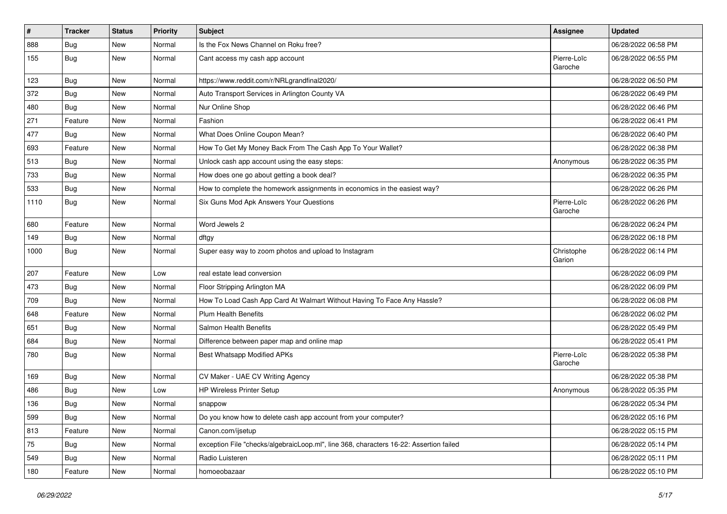| #    | <b>Tracker</b> | <b>Status</b> | <b>Priority</b> | <b>Subject</b>                                                                         | <b>Assignee</b>        | <b>Updated</b>      |
|------|----------------|---------------|-----------------|----------------------------------------------------------------------------------------|------------------------|---------------------|
| 888  | <b>Bug</b>     | New           | Normal          | Is the Fox News Channel on Roku free?                                                  |                        | 06/28/2022 06:58 PM |
| 155  | Bug            | New           | Normal          | Cant access my cash app account                                                        | Pierre-Loïc<br>Garoche | 06/28/2022 06:55 PM |
| 123  | Bug            | New           | Normal          | https://www.reddit.com/r/NRLgrandfinal2020/                                            |                        | 06/28/2022 06:50 PM |
| 372  | Bug            | New           | Normal          | Auto Transport Services in Arlington County VA                                         |                        | 06/28/2022 06:49 PM |
| 480  | Bug            | New           | Normal          | Nur Online Shop                                                                        |                        | 06/28/2022 06:46 PM |
| 271  | Feature        | New           | Normal          | Fashion                                                                                |                        | 06/28/2022 06:41 PM |
| 477  | Bug            | New           | Normal          | What Does Online Coupon Mean?                                                          |                        | 06/28/2022 06:40 PM |
| 693  | Feature        | New           | Normal          | How To Get My Money Back From The Cash App To Your Wallet?                             |                        | 06/28/2022 06:38 PM |
| 513  | Bug            | New           | Normal          | Unlock cash app account using the easy steps:                                          | Anonymous              | 06/28/2022 06:35 PM |
| 733  | <b>Bug</b>     | New           | Normal          | How does one go about getting a book deal?                                             |                        | 06/28/2022 06:35 PM |
| 533  | Bug            | New           | Normal          | How to complete the homework assignments in economics in the easiest way?              |                        | 06/28/2022 06:26 PM |
| 1110 | Bug            | New           | Normal          | Six Guns Mod Apk Answers Your Questions                                                | Pierre-Loïc<br>Garoche | 06/28/2022 06:26 PM |
| 680  | Feature        | <b>New</b>    | Normal          | Word Jewels 2                                                                          |                        | 06/28/2022 06:24 PM |
| 149  | Bug            | New           | Normal          | dftgy                                                                                  |                        | 06/28/2022 06:18 PM |
| 1000 | Bug            | New           | Normal          | Super easy way to zoom photos and upload to Instagram                                  | Christophe<br>Garion   | 06/28/2022 06:14 PM |
| 207  | Feature        | <b>New</b>    | Low             | real estate lead conversion                                                            |                        | 06/28/2022 06:09 PM |
| 473  | Bug            | New           | Normal          | Floor Stripping Arlington MA                                                           |                        | 06/28/2022 06:09 PM |
| 709  | Bug            | New           | Normal          | How To Load Cash App Card At Walmart Without Having To Face Any Hassle?                |                        | 06/28/2022 06:08 PM |
| 648  | Feature        | New           | Normal          | <b>Plum Health Benefits</b>                                                            |                        | 06/28/2022 06:02 PM |
| 651  | Bug            | New           | Normal          | Salmon Health Benefits                                                                 |                        | 06/28/2022 05:49 PM |
| 684  | <b>Bug</b>     | New           | Normal          | Difference between paper map and online map                                            |                        | 06/28/2022 05:41 PM |
| 780  | Bug            | New           | Normal          | <b>Best Whatsapp Modified APKs</b>                                                     | Pierre-Loïc<br>Garoche | 06/28/2022 05:38 PM |
| 169  | Bug            | New           | Normal          | CV Maker - UAE CV Writing Agency                                                       |                        | 06/28/2022 05:38 PM |
| 486  | <b>Bug</b>     | New           | Low             | <b>HP Wireless Printer Setup</b>                                                       | Anonymous              | 06/28/2022 05:35 PM |
| 136  | <b>Bug</b>     | New           | Normal          | snappow                                                                                |                        | 06/28/2022 05:34 PM |
| 599  | Bug            | New           | Normal          | Do you know how to delete cash app account from your computer?                         |                        | 06/28/2022 05:16 PM |
| 813  | Feature        | New           | Normal          | Canon.com/ijsetup                                                                      |                        | 06/28/2022 05:15 PM |
| 75   | <b>Bug</b>     | New           | Normal          | exception File "checks/algebraicLoop.ml", line 368, characters 16-22: Assertion failed |                        | 06/28/2022 05:14 PM |
| 549  | Bug            | New           | Normal          | Radio Luisteren                                                                        |                        | 06/28/2022 05:11 PM |
| 180  | Feature        | New           | Normal          | homoeobazaar                                                                           |                        | 06/28/2022 05:10 PM |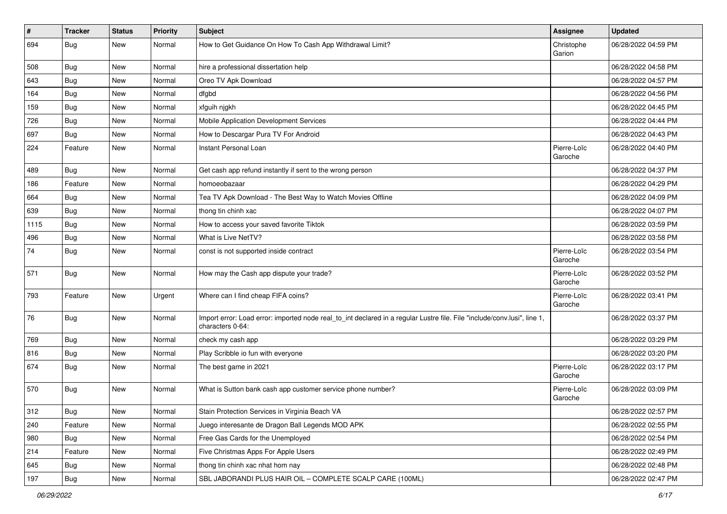| $\vert$ # | <b>Tracker</b> | <b>Status</b> | <b>Priority</b> | Subject                                                                                                                                      | Assignee               | <b>Updated</b>      |
|-----------|----------------|---------------|-----------------|----------------------------------------------------------------------------------------------------------------------------------------------|------------------------|---------------------|
| 694       | <b>Bug</b>     | New           | Normal          | How to Get Guidance On How To Cash App Withdrawal Limit?                                                                                     | Christophe<br>Garion   | 06/28/2022 04:59 PM |
| 508       | Bug            | New           | Normal          | hire a professional dissertation help                                                                                                        |                        | 06/28/2022 04:58 PM |
| 643       | Bug            | New           | Normal          | Oreo TV Apk Download                                                                                                                         |                        | 06/28/2022 04:57 PM |
| 164       | <b>Bug</b>     | New           | Normal          | dfgbd                                                                                                                                        |                        | 06/28/2022 04:56 PM |
| 159       | Bug            | New           | Normal          | xfguih njgkh                                                                                                                                 |                        | 06/28/2022 04:45 PM |
| 726       | <b>Bug</b>     | New           | Normal          | Mobile Application Development Services                                                                                                      |                        | 06/28/2022 04:44 PM |
| 697       | Bug            | New           | Normal          | How to Descargar Pura TV For Android                                                                                                         |                        | 06/28/2022 04:43 PM |
| 224       | Feature        | New           | Normal          | Instant Personal Loan                                                                                                                        | Pierre-Loïc<br>Garoche | 06/28/2022 04:40 PM |
| 489       | Bug            | New           | Normal          | Get cash app refund instantly if sent to the wrong person                                                                                    |                        | 06/28/2022 04:37 PM |
| 186       | Feature        | New           | Normal          | homoeobazaar                                                                                                                                 |                        | 06/28/2022 04:29 PM |
| 664       | Bug            | New           | Normal          | Tea TV Apk Download - The Best Way to Watch Movies Offline                                                                                   |                        | 06/28/2022 04:09 PM |
| 639       | Bug            | New           | Normal          | thong tin chinh xac                                                                                                                          |                        | 06/28/2022 04:07 PM |
| 1115      | Bug            | New           | Normal          | How to access your saved favorite Tiktok                                                                                                     |                        | 06/28/2022 03:59 PM |
| 496       | Bug            | New           | Normal          | What is Live NetTV?                                                                                                                          |                        | 06/28/2022 03:58 PM |
| 74        | <b>Bug</b>     | New           | Normal          | const is not supported inside contract                                                                                                       | Pierre-Loïc<br>Garoche | 06/28/2022 03:54 PM |
| 571       | Bug            | New           | Normal          | How may the Cash app dispute your trade?                                                                                                     | Pierre-Loïc<br>Garoche | 06/28/2022 03:52 PM |
| 793       | Feature        | New           | Urgent          | Where can I find cheap FIFA coins?                                                                                                           | Pierre-Loïc<br>Garoche | 06/28/2022 03:41 PM |
| 76        | Bug            | New           | Normal          | Import error: Load error: imported node real_to_int declared in a regular Lustre file. File "include/conv.lusi", line 1,<br>characters 0-64: |                        | 06/28/2022 03:37 PM |
| 769       | Bug            | New           | Normal          | check my cash app                                                                                                                            |                        | 06/28/2022 03:29 PM |
| 816       | Bug            | New           | Normal          | Play Scribble io fun with everyone                                                                                                           |                        | 06/28/2022 03:20 PM |
| 674       | Bug            | New           | Normal          | The best game in 2021                                                                                                                        | Pierre-Loïc<br>Garoche | 06/28/2022 03:17 PM |
| 570       | Bug            | New           | Normal          | What is Sutton bank cash app customer service phone number?                                                                                  | Pierre-Loïc<br>Garoche | 06/28/2022 03:09 PM |
| 312       | Bug            | New           | Normal          | Stain Protection Services in Virginia Beach VA                                                                                               |                        | 06/28/2022 02:57 PM |
| 240       | Feature        | New           | Normal          | Juego interesante de Dragon Ball Legends MOD APK                                                                                             |                        | 06/28/2022 02:55 PM |
| 980       | Bug            | New           | Normal          | Free Gas Cards for the Unemployed                                                                                                            |                        | 06/28/2022 02:54 PM |
| 214       | Feature        | New           | Normal          | Five Christmas Apps For Apple Users                                                                                                          |                        | 06/28/2022 02:49 PM |
| 645       | Bug            | New           | Normal          | thong tin chinh xac nhat hom nay                                                                                                             |                        | 06/28/2022 02:48 PM |
| 197       | <b>Bug</b>     | New           | Normal          | SBL JABORANDI PLUS HAIR OIL - COMPLETE SCALP CARE (100ML)                                                                                    |                        | 06/28/2022 02:47 PM |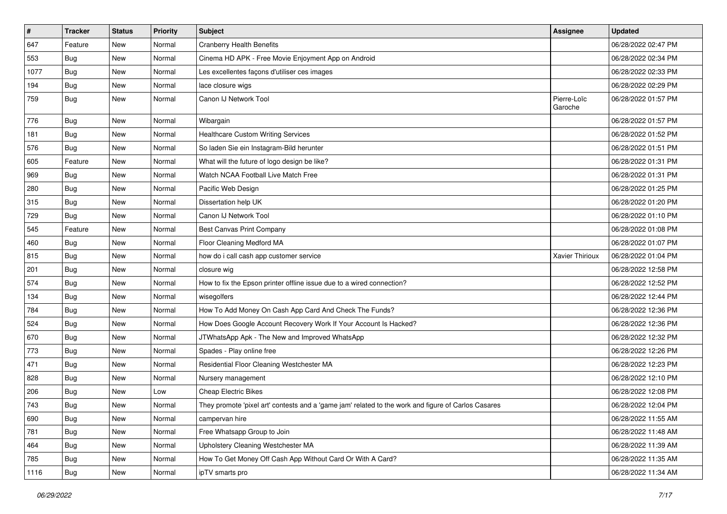| $\pmb{\#}$ | <b>Tracker</b> | <b>Status</b> | Priority | Subject                                                                                             | Assignee               | <b>Updated</b>      |
|------------|----------------|---------------|----------|-----------------------------------------------------------------------------------------------------|------------------------|---------------------|
| 647        | Feature        | New           | Normal   | <b>Cranberry Health Benefits</b>                                                                    |                        | 06/28/2022 02:47 PM |
| 553        | Bug            | <b>New</b>    | Normal   | Cinema HD APK - Free Movie Enjoyment App on Android                                                 |                        | 06/28/2022 02:34 PM |
| 1077       | Bug            | New           | Normal   | Les excellentes façons d'utiliser ces images                                                        |                        | 06/28/2022 02:33 PM |
| 194        | Bug            | New           | Normal   | lace closure wigs                                                                                   |                        | 06/28/2022 02:29 PM |
| 759        | <b>Bug</b>     | New           | Normal   | Canon IJ Network Tool                                                                               | Pierre-Loïc<br>Garoche | 06/28/2022 01:57 PM |
| 776        | Bug            | New           | Normal   | Wibargain                                                                                           |                        | 06/28/2022 01:57 PM |
| 181        | Bug            | New           | Normal   | <b>Healthcare Custom Writing Services</b>                                                           |                        | 06/28/2022 01:52 PM |
| 576        | Bug            | New           | Normal   | So laden Sie ein Instagram-Bild herunter                                                            |                        | 06/28/2022 01:51 PM |
| 605        | Feature        | New           | Normal   | What will the future of logo design be like?                                                        |                        | 06/28/2022 01:31 PM |
| 969        | <b>Bug</b>     | New           | Normal   | Watch NCAA Football Live Match Free                                                                 |                        | 06/28/2022 01:31 PM |
| 280        | Bug            | New           | Normal   | Pacific Web Design                                                                                  |                        | 06/28/2022 01:25 PM |
| 315        | <b>Bug</b>     | New           | Normal   | Dissertation help UK                                                                                |                        | 06/28/2022 01:20 PM |
| 729        | Bug            | New           | Normal   | Canon IJ Network Tool                                                                               |                        | 06/28/2022 01:10 PM |
| 545        | Feature        | New           | Normal   | <b>Best Canvas Print Company</b>                                                                    |                        | 06/28/2022 01:08 PM |
| 460        | Bug            | New           | Normal   | Floor Cleaning Medford MA                                                                           |                        | 06/28/2022 01:07 PM |
| 815        | Bug            | New           | Normal   | how do i call cash app customer service                                                             | Xavier Thirioux        | 06/28/2022 01:04 PM |
| 201        | Bug            | New           | Normal   | closure wig                                                                                         |                        | 06/28/2022 12:58 PM |
| 574        | Bug            | New           | Normal   | How to fix the Epson printer offline issue due to a wired connection?                               |                        | 06/28/2022 12:52 PM |
| 134        | <b>Bug</b>     | New           | Normal   | wisegolfers                                                                                         |                        | 06/28/2022 12:44 PM |
| 784        | Bug            | New           | Normal   | How To Add Money On Cash App Card And Check The Funds?                                              |                        | 06/28/2022 12:36 PM |
| 524        | Bug            | New           | Normal   | How Does Google Account Recovery Work If Your Account Is Hacked?                                    |                        | 06/28/2022 12:36 PM |
| 670        | <b>Bug</b>     | New           | Normal   | JTWhatsApp Apk - The New and Improved WhatsApp                                                      |                        | 06/28/2022 12:32 PM |
| 773        | <b>Bug</b>     | New           | Normal   | Spades - Play online free                                                                           |                        | 06/28/2022 12:26 PM |
| 471        | Bug            | New           | Normal   | Residential Floor Cleaning Westchester MA                                                           |                        | 06/28/2022 12:23 PM |
| 828        | Bug            | New           | Normal   | Nursery management                                                                                  |                        | 06/28/2022 12:10 PM |
| 206        | Bug            | New           | Low      | <b>Cheap Electric Bikes</b>                                                                         |                        | 06/28/2022 12:08 PM |
| 743        | <b>Bug</b>     | New           | Normal   | They promote 'pixel art' contests and a 'game jam' related to the work and figure of Carlos Casares |                        | 06/28/2022 12:04 PM |
| 690        | <b>Bug</b>     | New           | Normal   | campervan hire                                                                                      |                        | 06/28/2022 11:55 AM |
| 781        | Bug            | New           | Normal   | Free Whatsapp Group to Join                                                                         |                        | 06/28/2022 11:48 AM |
| 464        | <b>Bug</b>     | New           | Normal   | Upholstery Cleaning Westchester MA                                                                  |                        | 06/28/2022 11:39 AM |
| 785        | <b>Bug</b>     | New           | Normal   | How To Get Money Off Cash App Without Card Or With A Card?                                          |                        | 06/28/2022 11:35 AM |
| 1116       | <b>Bug</b>     | New           | Normal   | ipTV smarts pro                                                                                     |                        | 06/28/2022 11:34 AM |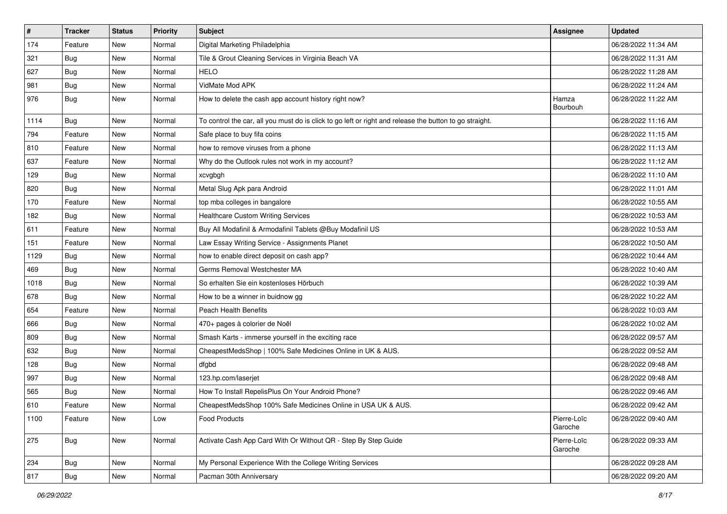| $\sharp$ | <b>Tracker</b> | <b>Status</b> | Priority | <b>Subject</b>                                                                                          | Assignee               | <b>Updated</b>      |
|----------|----------------|---------------|----------|---------------------------------------------------------------------------------------------------------|------------------------|---------------------|
| 174      | Feature        | New           | Normal   | Digital Marketing Philadelphia                                                                          |                        | 06/28/2022 11:34 AM |
| 321      | <b>Bug</b>     | New           | Normal   | Tile & Grout Cleaning Services in Virginia Beach VA                                                     |                        | 06/28/2022 11:31 AM |
| 627      | <b>Bug</b>     | New           | Normal   | <b>HELO</b>                                                                                             |                        | 06/28/2022 11:28 AM |
| 981      | <b>Bug</b>     | New           | Normal   | VidMate Mod APK                                                                                         |                        | 06/28/2022 11:24 AM |
| 976      | <b>Bug</b>     | New           | Normal   | How to delete the cash app account history right now?                                                   | Hamza<br>Bourbouh      | 06/28/2022 11:22 AM |
| 1114     | Bug            | New           | Normal   | To control the car, all you must do is click to go left or right and release the button to go straight. |                        | 06/28/2022 11:16 AM |
| 794      | Feature        | New           | Normal   | Safe place to buy fifa coins                                                                            |                        | 06/28/2022 11:15 AM |
| 810      | Feature        | New           | Normal   | how to remove viruses from a phone                                                                      |                        | 06/28/2022 11:13 AM |
| 637      | Feature        | <b>New</b>    | Normal   | Why do the Outlook rules not work in my account?                                                        |                        | 06/28/2022 11:12 AM |
| 129      | Bug            | New           | Normal   | xcvgbgh                                                                                                 |                        | 06/28/2022 11:10 AM |
| 820      | Bug            | New           | Normal   | Metal Slug Apk para Android                                                                             |                        | 06/28/2022 11:01 AM |
| 170      | Feature        | New           | Normal   | top mba colleges in bangalore                                                                           |                        | 06/28/2022 10:55 AM |
| 182      | <b>Bug</b>     | New           | Normal   | <b>Healthcare Custom Writing Services</b>                                                               |                        | 06/28/2022 10:53 AM |
| 611      | Feature        | New           | Normal   | Buy All Modafinil & Armodafinil Tablets @Buy Modafinil US                                               |                        | 06/28/2022 10:53 AM |
| 151      | Feature        | New           | Normal   | Law Essay Writing Service - Assignments Planet                                                          |                        | 06/28/2022 10:50 AM |
| 1129     | <b>Bug</b>     | New           | Normal   | how to enable direct deposit on cash app?                                                               |                        | 06/28/2022 10:44 AM |
| 469      | Bug            | New           | Normal   | Germs Removal Westchester MA                                                                            |                        | 06/28/2022 10:40 AM |
| 1018     | Bug            | New           | Normal   | So erhalten Sie ein kostenloses Hörbuch                                                                 |                        | 06/28/2022 10:39 AM |
| 678      | Bug            | New           | Normal   | How to be a winner in buidnow gg                                                                        |                        | 06/28/2022 10:22 AM |
| 654      | Feature        | New           | Normal   | <b>Peach Health Benefits</b>                                                                            |                        | 06/28/2022 10:03 AM |
| 666      | Bug            | New           | Normal   | 470+ pages à colorier de Noël                                                                           |                        | 06/28/2022 10:02 AM |
| 809      | Bug            | New           | Normal   | Smash Karts - immerse yourself in the exciting race                                                     |                        | 06/28/2022 09:57 AM |
| 632      | <b>Bug</b>     | New           | Normal   | CheapestMedsShop   100% Safe Medicines Online in UK & AUS.                                              |                        | 06/28/2022 09:52 AM |
| 128      | Bug            | New           | Normal   | dfgbd                                                                                                   |                        | 06/28/2022 09:48 AM |
| 997      | Bug            | New           | Normal   | 123.hp.com/laserjet                                                                                     |                        | 06/28/2022 09:48 AM |
| 565      | <b>Bug</b>     | New           | Normal   | How To Install RepelisPlus On Your Android Phone?                                                       |                        | 06/28/2022 09:46 AM |
| 610      | Feature        | New           | Normal   | CheapestMedsShop 100% Safe Medicines Online in USA UK & AUS.                                            |                        | 06/28/2022 09:42 AM |
| 1100     | Feature        | New           | Low      | Food Products                                                                                           | Pierre-Loïc<br>Garoche | 06/28/2022 09:40 AM |
| 275      | Bug            | New           | Normal   | Activate Cash App Card With Or Without QR - Step By Step Guide                                          | Pierre-Loïc<br>Garoche | 06/28/2022 09:33 AM |
| 234      | Bug            | New           | Normal   | My Personal Experience With the College Writing Services                                                |                        | 06/28/2022 09:28 AM |
| 817      | <b>Bug</b>     | New           | Normal   | Pacman 30th Anniversary                                                                                 |                        | 06/28/2022 09:20 AM |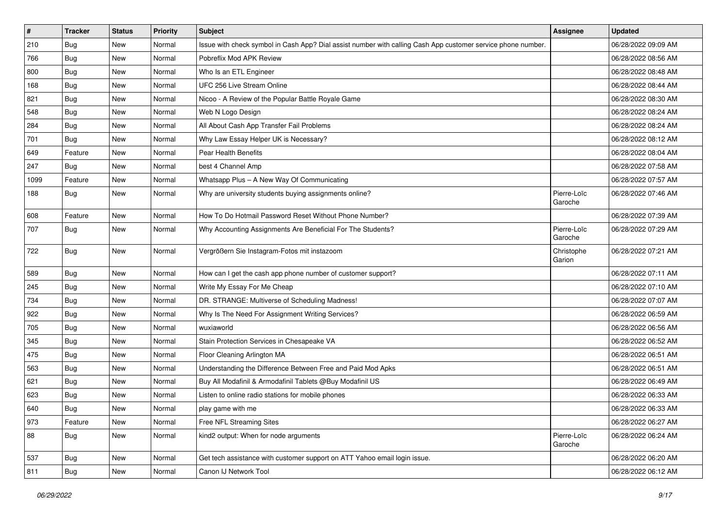| #    | <b>Tracker</b> | <b>Status</b> | Priority | <b>Subject</b>                                                                                               | <b>Assignee</b>        | <b>Updated</b>      |
|------|----------------|---------------|----------|--------------------------------------------------------------------------------------------------------------|------------------------|---------------------|
| 210  | <b>Bug</b>     | New           | Normal   | Issue with check symbol in Cash App? Dial assist number with calling Cash App customer service phone number. |                        | 06/28/2022 09:09 AM |
| 766  | Bug            | New           | Normal   | Pobreflix Mod APK Review                                                                                     |                        | 06/28/2022 08:56 AM |
| 800  | Bug            | New           | Normal   | Who Is an ETL Engineer                                                                                       |                        | 06/28/2022 08:48 AM |
| 168  | Bug            | New           | Normal   | UFC 256 Live Stream Online                                                                                   |                        | 06/28/2022 08:44 AM |
| 821  | <b>Bug</b>     | New           | Normal   | Nicoo - A Review of the Popular Battle Royale Game                                                           |                        | 06/28/2022 08:30 AM |
| 548  | <b>Bug</b>     | New           | Normal   | Web N Logo Design                                                                                            |                        | 06/28/2022 08:24 AM |
| 284  | Bug            | New           | Normal   | All About Cash App Transfer Fail Problems                                                                    |                        | 06/28/2022 08:24 AM |
| 701  | Bug            | New           | Normal   | Why Law Essay Helper UK is Necessary?                                                                        |                        | 06/28/2022 08:12 AM |
| 649  | Feature        | New           | Normal   | Pear Health Benefits                                                                                         |                        | 06/28/2022 08:04 AM |
| 247  | Bug            | New           | Normal   | best 4 Channel Amp                                                                                           |                        | 06/28/2022 07:58 AM |
| 1099 | Feature        | New           | Normal   | Whatsapp Plus - A New Way Of Communicating                                                                   |                        | 06/28/2022 07:57 AM |
| 188  | <b>Bug</b>     | New           | Normal   | Why are university students buying assignments online?                                                       | Pierre-Loïc<br>Garoche | 06/28/2022 07:46 AM |
| 608  | Feature        | New           | Normal   | How To Do Hotmail Password Reset Without Phone Number?                                                       |                        | 06/28/2022 07:39 AM |
| 707  | <b>Bug</b>     | New           | Normal   | Why Accounting Assignments Are Beneficial For The Students?                                                  | Pierre-Loïc<br>Garoche | 06/28/2022 07:29 AM |
| 722  | <b>Bug</b>     | New           | Normal   | Vergrößern Sie Instagram-Fotos mit instazoom                                                                 | Christophe<br>Garion   | 06/28/2022 07:21 AM |
| 589  | Bug            | New           | Normal   | How can I get the cash app phone number of customer support?                                                 |                        | 06/28/2022 07:11 AM |
| 245  | Bug            | New           | Normal   | Write My Essay For Me Cheap                                                                                  |                        | 06/28/2022 07:10 AM |
| 734  | Bug            | <b>New</b>    | Normal   | DR. STRANGE: Multiverse of Scheduling Madness!                                                               |                        | 06/28/2022 07:07 AM |
| 922  | <b>Bug</b>     | New           | Normal   | Why Is The Need For Assignment Writing Services?                                                             |                        | 06/28/2022 06:59 AM |
| 705  | Bug            | New           | Normal   | wuxiaworld                                                                                                   |                        | 06/28/2022 06:56 AM |
| 345  | Bug            | New           | Normal   | Stain Protection Services in Chesapeake VA                                                                   |                        | 06/28/2022 06:52 AM |
| 475  | <b>Bug</b>     | New           | Normal   | Floor Cleaning Arlington MA                                                                                  |                        | 06/28/2022 06:51 AM |
| 563  | Bug            | New           | Normal   | Understanding the Difference Between Free and Paid Mod Apks                                                  |                        | 06/28/2022 06:51 AM |
| 621  | <b>Bug</b>     | New           | Normal   | Buy All Modafinil & Armodafinil Tablets @Buy Modafinil US                                                    |                        | 06/28/2022 06:49 AM |
| 623  | <b>Bug</b>     | New           | Normal   | Listen to online radio stations for mobile phones                                                            |                        | 06/28/2022 06:33 AM |
| 640  | <b>Bug</b>     | New           | Normal   | play game with me                                                                                            |                        | 06/28/2022 06:33 AM |
| 973  | Feature        | New           | Normal   | Free NFL Streaming Sites                                                                                     |                        | 06/28/2022 06:27 AM |
| 88   | <b>Bug</b>     | <b>New</b>    | Normal   | kind2 output: When for node arguments                                                                        | Pierre-Loïc<br>Garoche | 06/28/2022 06:24 AM |
| 537  | Bug            | New           | Normal   | Get tech assistance with customer support on ATT Yahoo email login issue.                                    |                        | 06/28/2022 06:20 AM |
| 811  | Bug            | New           | Normal   | Canon IJ Network Tool                                                                                        |                        | 06/28/2022 06:12 AM |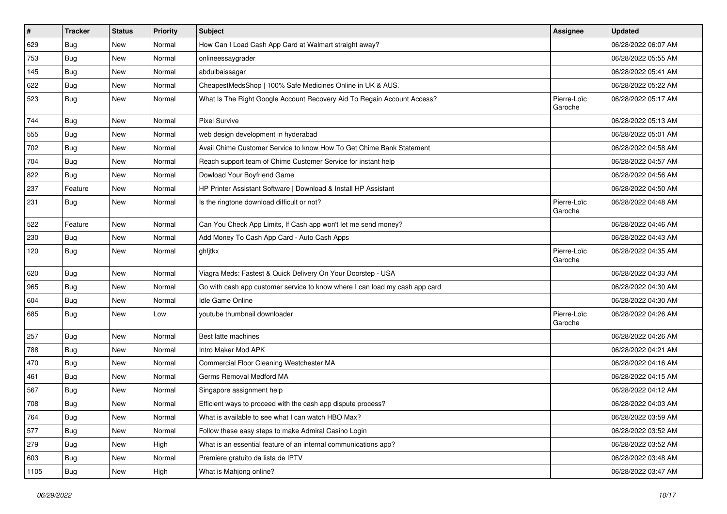| $\sharp$ | <b>Tracker</b> | <b>Status</b> | <b>Priority</b> | <b>Subject</b>                                                              | <b>Assignee</b>        | <b>Updated</b>      |
|----------|----------------|---------------|-----------------|-----------------------------------------------------------------------------|------------------------|---------------------|
| 629      | <b>Bug</b>     | New           | Normal          | How Can I Load Cash App Card at Walmart straight away?                      |                        | 06/28/2022 06:07 AM |
| 753      | Bug            | <b>New</b>    | Normal          | onlineessaygrader                                                           |                        | 06/28/2022 05:55 AM |
| 145      | <b>Bug</b>     | New           | Normal          | abdulbaissagar                                                              |                        | 06/28/2022 05:41 AM |
| 622      | Bug            | New           | Normal          | CheapestMedsShop   100% Safe Medicines Online in UK & AUS.                  |                        | 06/28/2022 05:22 AM |
| 523      | Bug            | New           | Normal          | What Is The Right Google Account Recovery Aid To Regain Account Access?     | Pierre-Loïc<br>Garoche | 06/28/2022 05:17 AM |
| 744      | Bug            | <b>New</b>    | Normal          | <b>Pixel Survive</b>                                                        |                        | 06/28/2022 05:13 AM |
| 555      | Bug            | New           | Normal          | web design development in hyderabad                                         |                        | 06/28/2022 05:01 AM |
| 702      | <b>Bug</b>     | New           | Normal          | Avail Chime Customer Service to know How To Get Chime Bank Statement        |                        | 06/28/2022 04:58 AM |
| 704      | Bug            | New           | Normal          | Reach support team of Chime Customer Service for instant help               |                        | 06/28/2022 04:57 AM |
| 822      | <b>Bug</b>     | New           | Normal          | Dowload Your Boyfriend Game                                                 |                        | 06/28/2022 04:56 AM |
| 237      | Feature        | New           | Normal          | HP Printer Assistant Software   Download & Install HP Assistant             |                        | 06/28/2022 04:50 AM |
| 231      | Bug            | New           | Normal          | Is the ringtone download difficult or not?                                  | Pierre-Loïc<br>Garoche | 06/28/2022 04:48 AM |
| 522      | Feature        | <b>New</b>    | Normal          | Can You Check App Limits, If Cash app won't let me send money?              |                        | 06/28/2022 04:46 AM |
| 230      | Bug            | New           | Normal          | Add Money To Cash App Card - Auto Cash Apps                                 |                        | 06/28/2022 04:43 AM |
| 120      | Bug            | New           | Normal          | ghfjtkx                                                                     | Pierre-Loïc<br>Garoche | 06/28/2022 04:35 AM |
| 620      | Bug            | New           | Normal          | Viagra Meds: Fastest & Quick Delivery On Your Doorstep - USA                |                        | 06/28/2022 04:33 AM |
| 965      | Bug            | New           | Normal          | Go with cash app customer service to know where I can load my cash app card |                        | 06/28/2022 04:30 AM |
| 604      | Bug            | New           | Normal          | Idle Game Online                                                            |                        | 06/28/2022 04:30 AM |
| 685      | <b>Bug</b>     | New           | Low             | youtube thumbnail downloader                                                | Pierre-Loïc<br>Garoche | 06/28/2022 04:26 AM |
| 257      | Bug            | New           | Normal          | Best latte machines                                                         |                        | 06/28/2022 04:26 AM |
| 788      | Bug            | New           | Normal          | Intro Maker Mod APK                                                         |                        | 06/28/2022 04:21 AM |
| 470      | Bug            | New           | Normal          | Commercial Floor Cleaning Westchester MA                                    |                        | 06/28/2022 04:16 AM |
| 461      | <b>Bug</b>     | New           | Normal          | Germs Removal Medford MA                                                    |                        | 06/28/2022 04:15 AM |
| 567      | <b>Bug</b>     | New           | Normal          | Singapore assignment help                                                   |                        | 06/28/2022 04:12 AM |
| 708      | <b>Bug</b>     | New           | Normal          | Efficient ways to proceed with the cash app dispute process?                |                        | 06/28/2022 04:03 AM |
| 764      | Bug            | New           | Normal          | What is available to see what I can watch HBO Max?                          |                        | 06/28/2022 03:59 AM |
| 577      | Bug            | New           | Normal          | Follow these easy steps to make Admiral Casino Login                        |                        | 06/28/2022 03:52 AM |
| 279      | Bug            | New           | High            | What is an essential feature of an internal communications app?             |                        | 06/28/2022 03:52 AM |
| 603      | <b>Bug</b>     | New           | Normal          | Premiere gratuito da lista de IPTV                                          |                        | 06/28/2022 03:48 AM |
| 1105     | <b>Bug</b>     | New           | High            | What is Mahjong online?                                                     |                        | 06/28/2022 03:47 AM |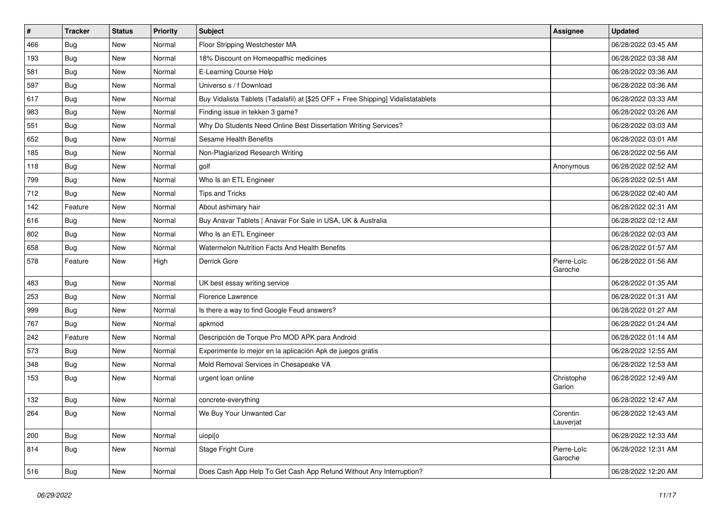| $\vert$ # | <b>Tracker</b> | <b>Status</b> | <b>Priority</b> | <b>Subject</b>                                                                   | <b>Assignee</b>        | <b>Updated</b>      |
|-----------|----------------|---------------|-----------------|----------------------------------------------------------------------------------|------------------------|---------------------|
| 466       | <b>Bug</b>     | New           | Normal          | Floor Stripping Westchester MA                                                   |                        | 06/28/2022 03:45 AM |
| 193       | Bug            | New           | Normal          | 18% Discount on Homeopathic medicines                                            |                        | 06/28/2022 03:38 AM |
| 581       | Bug            | New           | Normal          | E-Learning Course Help                                                           |                        | 06/28/2022 03:36 AM |
| 597       | Bug            | New           | Normal          | Universo s / f Download                                                          |                        | 06/28/2022 03:36 AM |
| 617       | Bug            | New           | Normal          | Buy Vidalista Tablets (Tadalafil) at [\$25 OFF + Free Shipping] Vidalistatablets |                        | 06/28/2022 03:33 AM |
| 983       | <b>Bug</b>     | New           | Normal          | Finding issue in tekken 3 game?                                                  |                        | 06/28/2022 03:26 AM |
| 551       | Bug            | New           | Normal          | Why Do Students Need Online Best Dissertation Writing Services?                  |                        | 06/28/2022 03:03 AM |
| 652       | Bug            | New           | Normal          | Sesame Health Benefits                                                           |                        | 06/28/2022 03:01 AM |
| 185       | Bug            | New           | Normal          | Non-Plagiarized Research Writing                                                 |                        | 06/28/2022 02:56 AM |
| 118       | Bug            | New           | Normal          | golf                                                                             | Anonymous              | 06/28/2022 02:52 AM |
| 799       | Bug            | New           | Normal          | Who Is an ETL Engineer                                                           |                        | 06/28/2022 02:51 AM |
| 712       | Bug            | New           | Normal          | <b>Tips and Tricks</b>                                                           |                        | 06/28/2022 02:40 AM |
| 142       | Feature        | New           | Normal          | About ashimary hair                                                              |                        | 06/28/2022 02:31 AM |
| 616       | Bug            | New           | Normal          | Buy Anavar Tablets   Anavar For Sale in USA, UK & Australia                      |                        | 06/28/2022 02:12 AM |
| 802       | Bug            | New           | Normal          | Who Is an ETL Engineer                                                           |                        | 06/28/2022 02:03 AM |
| 658       | Bug            | New           | Normal          | Watermelon Nutrition Facts And Health Benefits                                   |                        | 06/28/2022 01:57 AM |
| 578       | Feature        | New           | High            | Derrick Gore                                                                     | Pierre-Loïc<br>Garoche | 06/28/2022 01:56 AM |
| 483       | Bug            | New           | Normal          | UK best essay writing service                                                    |                        | 06/28/2022 01:35 AM |
| 253       | Bug            | New           | Normal          | Florence Lawrence                                                                |                        | 06/28/2022 01:31 AM |
| 999       | Bug            | New           | Normal          | Is there a way to find Google Feud answers?                                      |                        | 06/28/2022 01:27 AM |
| 767       | <b>Bug</b>     | New           | Normal          | apkmod                                                                           |                        | 06/28/2022 01:24 AM |
| 242       | Feature        | New           | Normal          | Descripción de Torque Pro MOD APK para Android                                   |                        | 06/28/2022 01:14 AM |
| 573       | <b>Bug</b>     | New           | Normal          | Experimente lo mejor en la aplicación Apk de juegos gratis                       |                        | 06/28/2022 12:55 AM |
| 348       | Bug            | New           | Normal          | Mold Removal Services in Chesapeake VA                                           |                        | 06/28/2022 12:53 AM |
| 153       | <b>Bug</b>     | New           | Normal          | urgent loan online                                                               | Christophe<br>Garion   | 06/28/2022 12:49 AM |
| 132       | Bug            | New           | Normal          | concrete-everything                                                              |                        | 06/28/2022 12:47 AM |
| 264       | Bug            | New           | Normal          | We Buy Your Unwanted Car                                                         | Corentin<br>Lauverjat  | 06/28/2022 12:43 AM |
| 200       | Bug            | New           | Normal          | uiopi[o                                                                          |                        | 06/28/2022 12:33 AM |
| 814       | Bug            | New           | Normal          | Stage Fright Cure                                                                | Pierre-Loïc<br>Garoche | 06/28/2022 12:31 AM |
| 516       | <b>Bug</b>     | New           | Normal          | Does Cash App Help To Get Cash App Refund Without Any Interruption?              |                        | 06/28/2022 12:20 AM |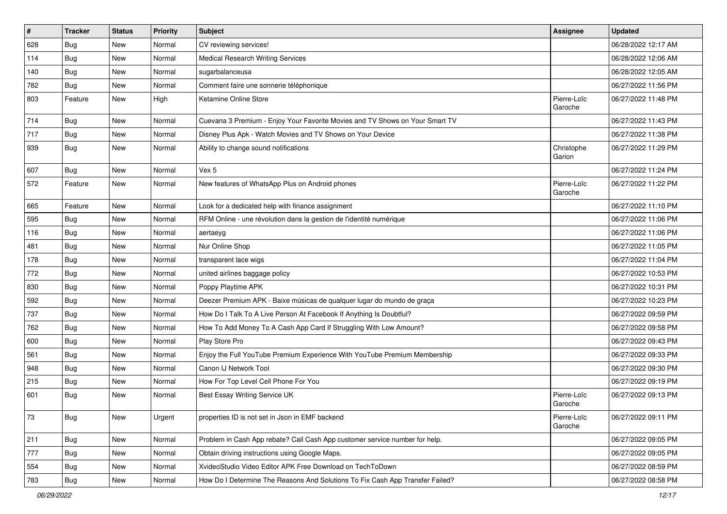| $\vert$ # | <b>Tracker</b> | <b>Status</b> | <b>Priority</b> | <b>Subject</b>                                                                | <b>Assignee</b>        | <b>Updated</b>      |
|-----------|----------------|---------------|-----------------|-------------------------------------------------------------------------------|------------------------|---------------------|
| 628       | <b>Bug</b>     | New           | Normal          | CV reviewing services!                                                        |                        | 06/28/2022 12:17 AM |
| 114       | Bug            | <b>New</b>    | Normal          | <b>Medical Research Writing Services</b>                                      |                        | 06/28/2022 12:06 AM |
| 140       | Bug            | New           | Normal          | sugarbalanceusa                                                               |                        | 06/28/2022 12:05 AM |
| 782       | Bug            | New           | Normal          | Comment faire une sonnerie téléphonique                                       |                        | 06/27/2022 11:56 PM |
| 803       | Feature        | New           | High            | Ketamine Online Store                                                         | Pierre-Loïc<br>Garoche | 06/27/2022 11:48 PM |
| 714       | Bug            | New           | Normal          | Cuevana 3 Premium - Enjoy Your Favorite Movies and TV Shows on Your Smart TV  |                        | 06/27/2022 11:43 PM |
| 717       | Bug            | <b>New</b>    | Normal          | Disney Plus Apk - Watch Movies and TV Shows on Your Device                    |                        | 06/27/2022 11:38 PM |
| 939       | Bug            | New           | Normal          | Ability to change sound notifications                                         | Christophe<br>Garion   | 06/27/2022 11:29 PM |
| 607       | Bug            | New           | Normal          | Vex 5                                                                         |                        | 06/27/2022 11:24 PM |
| 572       | Feature        | New           | Normal          | New features of WhatsApp Plus on Android phones                               | Pierre-Loïc<br>Garoche | 06/27/2022 11:22 PM |
| 665       | Feature        | New           | Normal          | Look for a dedicated help with finance assignment                             |                        | 06/27/2022 11:10 PM |
| 595       | Bug            | New           | Normal          | RFM Online - une révolution dans la gestion de l'identité numérique           |                        | 06/27/2022 11:06 PM |
| 116       | Bug            | <b>New</b>    | Normal          | aertaeyg                                                                      |                        | 06/27/2022 11:06 PM |
| 481       | <b>Bug</b>     | New           | Normal          | Nur Online Shop                                                               |                        | 06/27/2022 11:05 PM |
| 178       | <b>Bug</b>     | <b>New</b>    | Normal          | transparent lace wigs                                                         |                        | 06/27/2022 11:04 PM |
| 772       | Bug            | New           | Normal          | united airlines baggage policy                                                |                        | 06/27/2022 10:53 PM |
| 830       | Bug            | New           | Normal          | Poppy Playtime APK                                                            |                        | 06/27/2022 10:31 PM |
| 592       | Bug            | New           | Normal          | Deezer Premium APK - Baixe músicas de qualquer lugar do mundo de graça        |                        | 06/27/2022 10:23 PM |
| 737       | <b>Bug</b>     | New           | Normal          | How Do I Talk To A Live Person At Facebook If Anything Is Doubtful?           |                        | 06/27/2022 09:59 PM |
| 762       | Bug            | <b>New</b>    | Normal          | How To Add Money To A Cash App Card If Struggling With Low Amount?            |                        | 06/27/2022 09:58 PM |
| 600       | Bug            | New           | Normal          | Play Store Pro                                                                |                        | 06/27/2022 09:43 PM |
| 561       | Bug            | New           | Normal          | Enjoy the Full YouTube Premium Experience With YouTube Premium Membership     |                        | 06/27/2022 09:33 PM |
| 948       | <b>Bug</b>     | New           | Normal          | Canon IJ Network Tool                                                         |                        | 06/27/2022 09:30 PM |
| 215       | <b>Bug</b>     | New           | Normal          | How For Top Level Cell Phone For You                                          |                        | 06/27/2022 09:19 PM |
| 601       | Bug            | New           | Normal          | Best Essay Writing Service UK                                                 | Pierre-Loïc<br>Garoche | 06/27/2022 09:13 PM |
| 73        | Bug            | New           | Urgent          | properties ID is not set in Json in EMF backend                               | Pierre-Loïc<br>Garoche | 06/27/2022 09:11 PM |
| 211       | Bug            | New           | Normal          | Problem in Cash App rebate? Call Cash App customer service number for help.   |                        | 06/27/2022 09:05 PM |
| 777       | Bug            | New           | Normal          | Obtain driving instructions using Google Maps.                                |                        | 06/27/2022 09:05 PM |
| 554       | <b>Bug</b>     | New           | Normal          | XvideoStudio Video Editor APK Free Download on TechToDown                     |                        | 06/27/2022 08:59 PM |
| 783       | Bug            | New           | Normal          | How Do I Determine The Reasons And Solutions To Fix Cash App Transfer Failed? |                        | 06/27/2022 08:58 PM |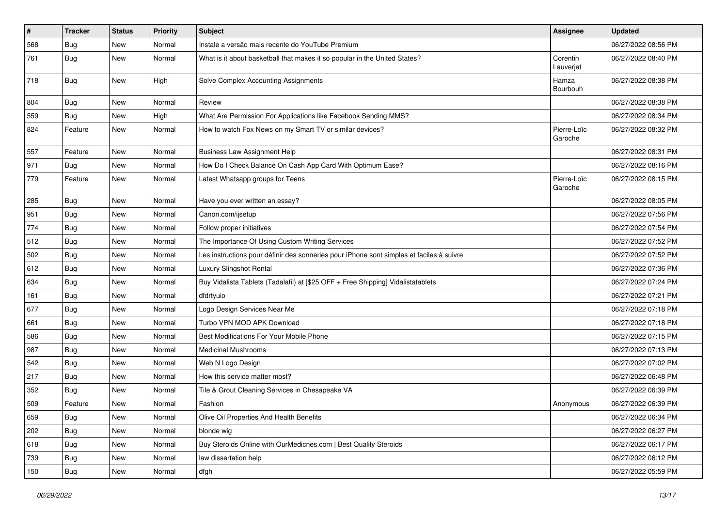| $\pmb{\#}$ | <b>Tracker</b> | <b>Status</b> | Priority | <b>Subject</b>                                                                           | <b>Assignee</b>        | <b>Updated</b>      |
|------------|----------------|---------------|----------|------------------------------------------------------------------------------------------|------------------------|---------------------|
| 568        | <b>Bug</b>     | New           | Normal   | Instale a versão mais recente do YouTube Premium                                         |                        | 06/27/2022 08:56 PM |
| 761        | Bug            | New           | Normal   | What is it about basketball that makes it so popular in the United States?               | Corentin<br>Lauverjat  | 06/27/2022 08:40 PM |
| 718        | <b>Bug</b>     | New           | High     | Solve Complex Accounting Assignments                                                     | Hamza<br>Bourbouh      | 06/27/2022 08:38 PM |
| 804        | <b>Bug</b>     | New           | Normal   | Review                                                                                   |                        | 06/27/2022 08:38 PM |
| 559        | <b>Bug</b>     | New           | High     | What Are Permission For Applications like Facebook Sending MMS?                          |                        | 06/27/2022 08:34 PM |
| 824        | Feature        | New           | Normal   | How to watch Fox News on my Smart TV or similar devices?                                 | Pierre-Loïc<br>Garoche | 06/27/2022 08:32 PM |
| 557        | Feature        | <b>New</b>    | Normal   | <b>Business Law Assignment Help</b>                                                      |                        | 06/27/2022 08:31 PM |
| 971        | <b>Bug</b>     | New           | Normal   | How Do I Check Balance On Cash App Card With Optimum Ease?                               |                        | 06/27/2022 08:16 PM |
| 779        | Feature        | New           | Normal   | Latest Whatsapp groups for Teens                                                         | Pierre-Loïc<br>Garoche | 06/27/2022 08:15 PM |
| 285        | Bug            | New           | Normal   | Have you ever written an essay?                                                          |                        | 06/27/2022 08:05 PM |
| 951        | Bug            | New           | Normal   | Canon.com/ijsetup                                                                        |                        | 06/27/2022 07:56 PM |
| 774        | Bug            | New           | Normal   | Follow proper initiatives                                                                |                        | 06/27/2022 07:54 PM |
| 512        | <b>Bug</b>     | New           | Normal   | The Importance Of Using Custom Writing Services                                          |                        | 06/27/2022 07:52 PM |
| 502        | Bug            | <b>New</b>    | Normal   | Les instructions pour définir des sonneries pour iPhone sont simples et faciles à suivre |                        | 06/27/2022 07:52 PM |
| 612        | <b>Bug</b>     | New           | Normal   | <b>Luxury Slingshot Rental</b>                                                           |                        | 06/27/2022 07:36 PM |
| 634        | <b>Bug</b>     | New           | Normal   | Buy Vidalista Tablets (Tadalafil) at [\$25 OFF + Free Shipping] Vidalistatablets         |                        | 06/27/2022 07:24 PM |
| 161        | <b>Bug</b>     | New           | Normal   | dfdrtyuio                                                                                |                        | 06/27/2022 07:21 PM |
| 677        | <b>Bug</b>     | New           | Normal   | Logo Design Services Near Me                                                             |                        | 06/27/2022 07:18 PM |
| 661        | Bug            | New           | Normal   | Turbo VPN MOD APK Download                                                               |                        | 06/27/2022 07:18 PM |
| 586        | Bug            | New           | Normal   | Best Modifications For Your Mobile Phone                                                 |                        | 06/27/2022 07:15 PM |
| 987        | <b>Bug</b>     | New           | Normal   | <b>Medicinal Mushrooms</b>                                                               |                        | 06/27/2022 07:13 PM |
| 542        | Bug            | <b>New</b>    | Normal   | Web N Logo Design                                                                        |                        | 06/27/2022 07:02 PM |
| 217        | <b>Bug</b>     | New           | Normal   | How this service matter most?                                                            |                        | 06/27/2022 06:48 PM |
| 352        | <b>Bug</b>     | New           | Normal   | Tile & Grout Cleaning Services in Chesapeake VA                                          |                        | 06/27/2022 06:39 PM |
| 509        | Feature        | New           | Normal   | Fashion                                                                                  | Anonymous              | 06/27/2022 06:39 PM |
| 659        | <b>Bug</b>     | New           | Normal   | Olive Oil Properties And Health Benefits                                                 |                        | 06/27/2022 06:34 PM |
| 202        | <b>Bug</b>     | New           | Normal   | blonde wig                                                                               |                        | 06/27/2022 06:27 PM |
| 618        | <b>Bug</b>     | New           | Normal   | Buy Steroids Online with OurMedicnes.com   Best Quality Steroids                         |                        | 06/27/2022 06:17 PM |
| 739        | Bug            | New           | Normal   | law dissertation help                                                                    |                        | 06/27/2022 06:12 PM |
| 150        | <b>Bug</b>     | New           | Normal   | dfgh                                                                                     |                        | 06/27/2022 05:59 PM |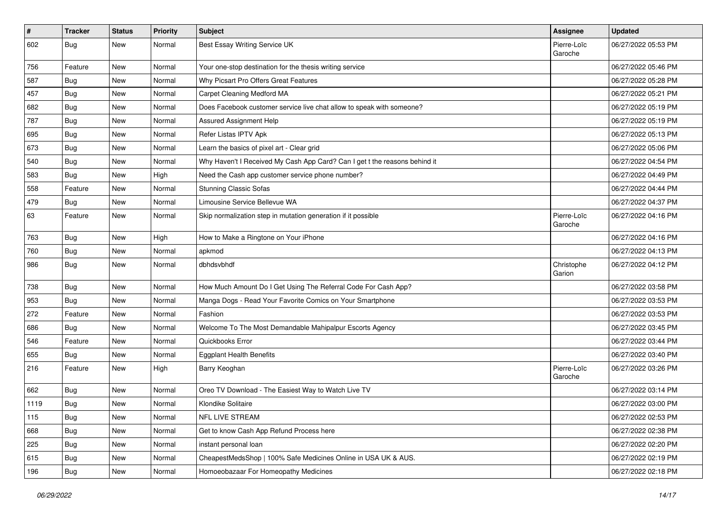| $\sharp$ | <b>Tracker</b> | <b>Status</b> | <b>Priority</b> | <b>Subject</b>                                                             | Assignee               | <b>Updated</b>      |
|----------|----------------|---------------|-----------------|----------------------------------------------------------------------------|------------------------|---------------------|
| 602      | <b>Bug</b>     | New           | Normal          | Best Essay Writing Service UK                                              | Pierre-Loïc<br>Garoche | 06/27/2022 05:53 PM |
| 756      | Feature        | <b>New</b>    | Normal          | Your one-stop destination for the thesis writing service                   |                        | 06/27/2022 05:46 PM |
| 587      | <b>Bug</b>     | New           | Normal          | Why Picsart Pro Offers Great Features                                      |                        | 06/27/2022 05:28 PM |
| 457      | Bug            | New           | Normal          | Carpet Cleaning Medford MA                                                 |                        | 06/27/2022 05:21 PM |
| 682      | <b>Bug</b>     | New           | Normal          | Does Facebook customer service live chat allow to speak with someone?      |                        | 06/27/2022 05:19 PM |
| 787      | <b>Bug</b>     | <b>New</b>    | Normal          | Assured Assignment Help                                                    |                        | 06/27/2022 05:19 PM |
| 695      | Bug            | New           | Normal          | Refer Listas IPTV Apk                                                      |                        | 06/27/2022 05:13 PM |
| 673      | <b>Bug</b>     | New           | Normal          | Learn the basics of pixel art - Clear grid                                 |                        | 06/27/2022 05:06 PM |
| 540      | Bug            | New           | Normal          | Why Haven't I Received My Cash App Card? Can I get t the reasons behind it |                        | 06/27/2022 04:54 PM |
| 583      | <b>Bug</b>     | <b>New</b>    | High            | Need the Cash app customer service phone number?                           |                        | 06/27/2022 04:49 PM |
| 558      | Feature        | New           | Normal          | <b>Stunning Classic Sofas</b>                                              |                        | 06/27/2022 04:44 PM |
| 479      | Bug            | New           | Normal          | Limousine Service Bellevue WA                                              |                        | 06/27/2022 04:37 PM |
| 63       | Feature        | New           | Normal          | Skip normalization step in mutation generation if it possible              | Pierre-Loïc<br>Garoche | 06/27/2022 04:16 PM |
| 763      | Bug            | New           | High            | How to Make a Ringtone on Your iPhone                                      |                        | 06/27/2022 04:16 PM |
| 760      | <b>Bug</b>     | New           | Normal          | apkmod                                                                     |                        | 06/27/2022 04:13 PM |
| 986      | <b>Bug</b>     | New           | Normal          | dbhdsvbhdf                                                                 | Christophe<br>Garion   | 06/27/2022 04:12 PM |
| 738      | <b>Bug</b>     | New           | Normal          | How Much Amount Do I Get Using The Referral Code For Cash App?             |                        | 06/27/2022 03:58 PM |
| 953      | Bug            | New           | Normal          | Manga Dogs - Read Your Favorite Comics on Your Smartphone                  |                        | 06/27/2022 03:53 PM |
| 272      | Feature        | New           | Normal          | Fashion                                                                    |                        | 06/27/2022 03:53 PM |
| 686      | Bug            | New           | Normal          | Welcome To The Most Demandable Mahipalpur Escorts Agency                   |                        | 06/27/2022 03:45 PM |
| 546      | Feature        | New           | Normal          | Quickbooks Error                                                           |                        | 06/27/2022 03:44 PM |
| 655      | Bug            | New           | Normal          | <b>Eggplant Health Benefits</b>                                            |                        | 06/27/2022 03:40 PM |
| 216      | Feature        | New           | High            | Barry Keoghan                                                              | Pierre-Loïc<br>Garoche | 06/27/2022 03:26 PM |
| 662      | <b>Bug</b>     | <b>New</b>    | Normal          | Oreo TV Download - The Easiest Way to Watch Live TV                        |                        | 06/27/2022 03:14 PM |
| 1119     | <b>Bug</b>     | New           | Normal          | Klondike Solitaire                                                         |                        | 06/27/2022 03:00 PM |
| 115      | <b>Bug</b>     | New           | Normal          | NFL LIVE STREAM                                                            |                        | 06/27/2022 02:53 PM |
| 668      | Bug            | New           | Normal          | Get to know Cash App Refund Process here                                   |                        | 06/27/2022 02:38 PM |
| 225      | Bug            | New           | Normal          | instant personal loan                                                      |                        | 06/27/2022 02:20 PM |
| 615      | <b>Bug</b>     | New           | Normal          | CheapestMedsShop   100% Safe Medicines Online in USA UK & AUS.             |                        | 06/27/2022 02:19 PM |
| 196      | <b>Bug</b>     | New           | Normal          | Homoeobazaar For Homeopathy Medicines                                      |                        | 06/27/2022 02:18 PM |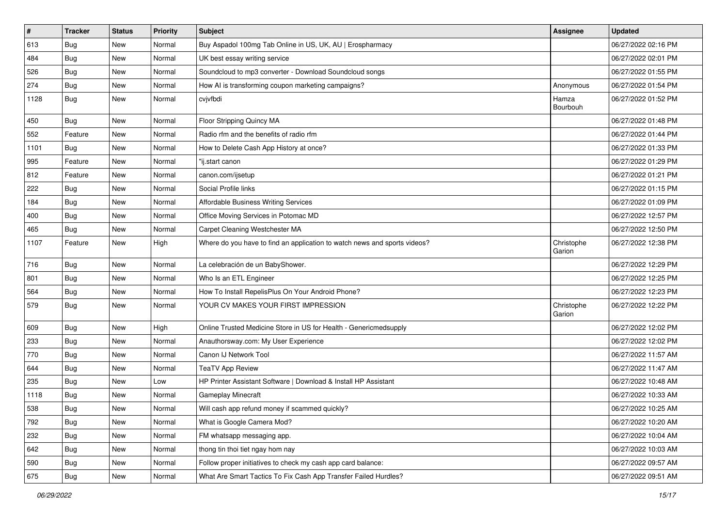| $\sharp$ | <b>Tracker</b> | <b>Status</b> | Priority | <b>Subject</b>                                                            | <b>Assignee</b>      | <b>Updated</b>      |
|----------|----------------|---------------|----------|---------------------------------------------------------------------------|----------------------|---------------------|
| 613      | <b>Bug</b>     | New           | Normal   | Buy Aspadol 100mg Tab Online in US, UK, AU   Erospharmacy                 |                      | 06/27/2022 02:16 PM |
| 484      | <b>Bug</b>     | New           | Normal   | UK best essay writing service                                             |                      | 06/27/2022 02:01 PM |
| 526      | Bug            | New           | Normal   | Soundcloud to mp3 converter - Download Soundcloud songs                   |                      | 06/27/2022 01:55 PM |
| 274      | Bug            | New           | Normal   | How AI is transforming coupon marketing campaigns?                        | Anonymous            | 06/27/2022 01:54 PM |
| 1128     | Bug            | New           | Normal   | cvjvfbdi                                                                  | Hamza<br>Bourbouh    | 06/27/2022 01:52 PM |
| 450      | <b>Bug</b>     | New           | Normal   | Floor Stripping Quincy MA                                                 |                      | 06/27/2022 01:48 PM |
| 552      | Feature        | New           | Normal   | Radio rfm and the benefits of radio rfm                                   |                      | 06/27/2022 01:44 PM |
| 1101     | Bug            | New           | Normal   | How to Delete Cash App History at once?                                   |                      | 06/27/2022 01:33 PM |
| 995      | Feature        | <b>New</b>    | Normal   | "ij.start canon                                                           |                      | 06/27/2022 01:29 PM |
| 812      | Feature        | New           | Normal   | canon.com/ijsetup                                                         |                      | 06/27/2022 01:21 PM |
| 222      | Bug            | New           | Normal   | Social Profile links                                                      |                      | 06/27/2022 01:15 PM |
| 184      | Bug            | New           | Normal   | Affordable Business Writing Services                                      |                      | 06/27/2022 01:09 PM |
| 400      | <b>Bug</b>     | New           | Normal   | Office Moving Services in Potomac MD                                      |                      | 06/27/2022 12:57 PM |
| 465      | Bug            | <b>New</b>    | Normal   | Carpet Cleaning Westchester MA                                            |                      | 06/27/2022 12:50 PM |
| 1107     | Feature        | New           | High     | Where do you have to find an application to watch news and sports videos? | Christophe<br>Garion | 06/27/2022 12:38 PM |
| 716      | Bug            | New           | Normal   | La celebración de un BabyShower.                                          |                      | 06/27/2022 12:29 PM |
| 801      | <b>Bug</b>     | New           | Normal   | Who Is an ETL Engineer                                                    |                      | 06/27/2022 12:25 PM |
| 564      | Bug            | New           | Normal   | How To Install RepelisPlus On Your Android Phone?                         |                      | 06/27/2022 12:23 PM |
| 579      | Bug            | New           | Normal   | YOUR CV MAKES YOUR FIRST IMPRESSION                                       | Christophe<br>Garion | 06/27/2022 12:22 PM |
| 609      | Bug            | New           | High     | Online Trusted Medicine Store in US for Health - Genericmedsupply         |                      | 06/27/2022 12:02 PM |
| 233      | Bug            | New           | Normal   | Anauthorsway.com: My User Experience                                      |                      | 06/27/2022 12:02 PM |
| 770      | <b>Bug</b>     | New           | Normal   | Canon IJ Network Tool                                                     |                      | 06/27/2022 11:57 AM |
| 644      | Bug            | <b>New</b>    | Normal   | <b>TeaTV App Review</b>                                                   |                      | 06/27/2022 11:47 AM |
| 235      | <b>Bug</b>     | New           | Low      | HP Printer Assistant Software   Download & Install HP Assistant           |                      | 06/27/2022 10:48 AM |
| 1118     | <b>Bug</b>     | New           | Normal   | Gameplay Minecraft                                                        |                      | 06/27/2022 10:33 AM |
| 538      | Bug            | New           | Normal   | Will cash app refund money if scammed quickly?                            |                      | 06/27/2022 10:25 AM |
| 792      | <b>Bug</b>     | New           | Normal   | What is Google Camera Mod?                                                |                      | 06/27/2022 10:20 AM |
| 232      | Bug            | New           | Normal   | FM whatsapp messaging app.                                                |                      | 06/27/2022 10:04 AM |
| 642      | <b>Bug</b>     | New           | Normal   | thong tin thoi tiet ngay hom nay                                          |                      | 06/27/2022 10:03 AM |
| 590      | <b>Bug</b>     | New           | Normal   | Follow proper initiatives to check my cash app card balance:              |                      | 06/27/2022 09:57 AM |
| 675      | <b>Bug</b>     | New           | Normal   | What Are Smart Tactics To Fix Cash App Transfer Failed Hurdles?           |                      | 06/27/2022 09:51 AM |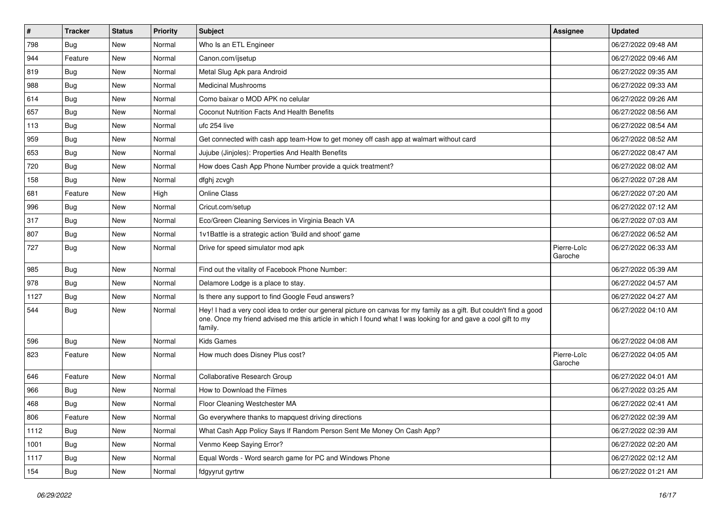| $\vert$ # | Tracker    | <b>Status</b> | <b>Priority</b> | Subject                                                                                                                                                                                                                                           | <b>Assignee</b>        | <b>Updated</b>      |
|-----------|------------|---------------|-----------------|---------------------------------------------------------------------------------------------------------------------------------------------------------------------------------------------------------------------------------------------------|------------------------|---------------------|
| 798       | Bug        | New           | Normal          | Who Is an ETL Engineer                                                                                                                                                                                                                            |                        | 06/27/2022 09:48 AM |
| 944       | Feature    | <b>New</b>    | Normal          | Canon.com/ijsetup                                                                                                                                                                                                                                 |                        | 06/27/2022 09:46 AM |
| 819       | Bug        | New           | Normal          | Metal Slug Apk para Android                                                                                                                                                                                                                       |                        | 06/27/2022 09:35 AM |
| 988       | <b>Bug</b> | New           | Normal          | <b>Medicinal Mushrooms</b>                                                                                                                                                                                                                        |                        | 06/27/2022 09:33 AM |
| 614       | Bug        | New           | Normal          | Como baixar o MOD APK no celular                                                                                                                                                                                                                  |                        | 06/27/2022 09:26 AM |
| 657       | Bug        | New           | Normal          | Coconut Nutrition Facts And Health Benefits                                                                                                                                                                                                       |                        | 06/27/2022 08:56 AM |
| 113       | <b>Bug</b> | New           | Normal          | ufc 254 live                                                                                                                                                                                                                                      |                        | 06/27/2022 08:54 AM |
| 959       | Bug        | New           | Normal          | Get connected with cash app team-How to get money off cash app at walmart without card                                                                                                                                                            |                        | 06/27/2022 08:52 AM |
| 653       | <b>Bug</b> | New           | Normal          | Jujube (Jinjoles): Properties And Health Benefits                                                                                                                                                                                                 |                        | 06/27/2022 08:47 AM |
| 720       | <b>Bug</b> | New           | Normal          | How does Cash App Phone Number provide a quick treatment?                                                                                                                                                                                         |                        | 06/27/2022 08:02 AM |
| 158       | Bug        | New           | Normal          | dfghj zcvgh                                                                                                                                                                                                                                       |                        | 06/27/2022 07:28 AM |
| 681       | Feature    | New           | High            | Online Class                                                                                                                                                                                                                                      |                        | 06/27/2022 07:20 AM |
| 996       | Bug        | New           | Normal          | Cricut.com/setup                                                                                                                                                                                                                                  |                        | 06/27/2022 07:12 AM |
| 317       | <b>Bug</b> | New           | Normal          | Eco/Green Cleaning Services in Virginia Beach VA                                                                                                                                                                                                  |                        | 06/27/2022 07:03 AM |
| 807       | <b>Bug</b> | New           | Normal          | 1v1Battle is a strategic action 'Build and shoot' game                                                                                                                                                                                            |                        | 06/27/2022 06:52 AM |
| 727       | Bug        | New           | Normal          | Drive for speed simulator mod apk                                                                                                                                                                                                                 | Pierre-Loïc<br>Garoche | 06/27/2022 06:33 AM |
| 985       | Bug        | New           | Normal          | Find out the vitality of Facebook Phone Number:                                                                                                                                                                                                   |                        | 06/27/2022 05:39 AM |
| 978       | <b>Bug</b> | New           | Normal          | Delamore Lodge is a place to stay.                                                                                                                                                                                                                |                        | 06/27/2022 04:57 AM |
| 1127      | <b>Bug</b> | New           | Normal          | Is there any support to find Google Feud answers?                                                                                                                                                                                                 |                        | 06/27/2022 04:27 AM |
| 544       | Bug        | New           | Normal          | Hey! I had a very cool idea to order our general picture on canvas for my family as a gift. But couldn't find a good<br>one. Once my friend advised me this article in which I found what I was looking for and gave a cool gift to my<br>family. |                        | 06/27/2022 04:10 AM |
| 596       | Bug        | New           | Normal          | <b>Kids Games</b>                                                                                                                                                                                                                                 |                        | 06/27/2022 04:08 AM |
| 823       | Feature    | New           | Normal          | How much does Disney Plus cost?                                                                                                                                                                                                                   | Pierre-Loïc<br>Garoche | 06/27/2022 04:05 AM |
| 646       | Feature    | New           | Normal          | <b>Collaborative Research Group</b>                                                                                                                                                                                                               |                        | 06/27/2022 04:01 AM |
| 966       | Bug        | New           | Normal          | How to Download the Filmes                                                                                                                                                                                                                        |                        | 06/27/2022 03:25 AM |
| 468       | Bug        | New           | Normal          | Floor Cleaning Westchester MA                                                                                                                                                                                                                     |                        | 06/27/2022 02:41 AM |
| 806       | Feature    | New           | Normal          | Go everywhere thanks to mapquest driving directions                                                                                                                                                                                               |                        | 06/27/2022 02:39 AM |
| 1112      | Bug        | New           | Normal          | What Cash App Policy Says If Random Person Sent Me Money On Cash App?                                                                                                                                                                             |                        | 06/27/2022 02:39 AM |
| 1001      | Bug        | New           | Normal          | Venmo Keep Saying Error?                                                                                                                                                                                                                          |                        | 06/27/2022 02:20 AM |
| 1117      | <b>Bug</b> | New           | Normal          | Equal Words - Word search game for PC and Windows Phone                                                                                                                                                                                           |                        | 06/27/2022 02:12 AM |
| 154       | Bug        | New           | Normal          | fdgyyrut gyrtrw                                                                                                                                                                                                                                   |                        | 06/27/2022 01:21 AM |